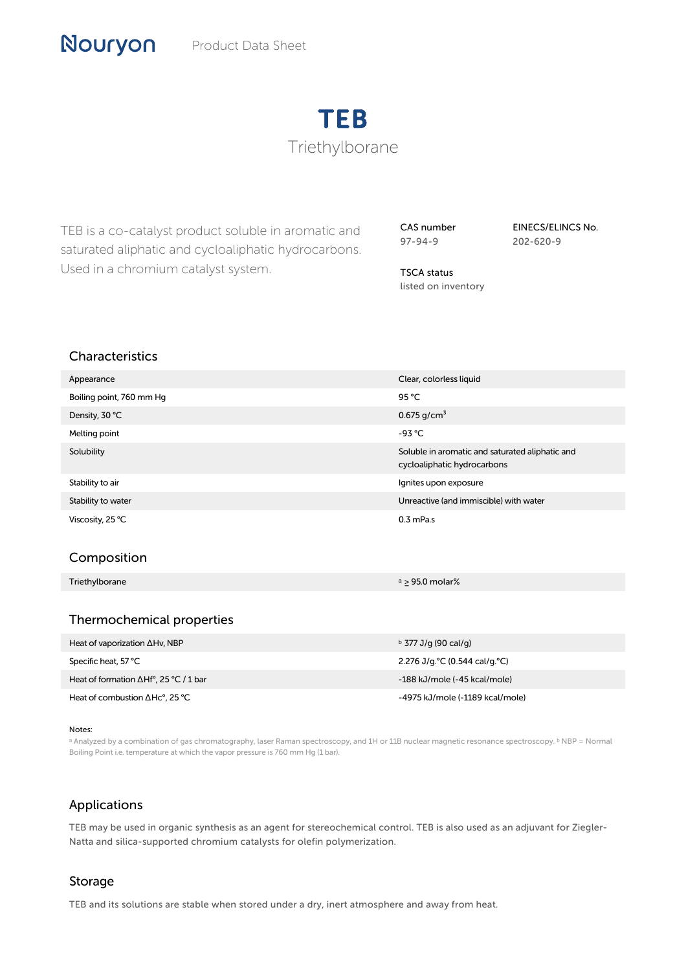Product Data Sheet

# TEB Triethylborane

TEB is a co-catalyst product soluble in aromatic and saturated aliphatic and cycloaliphatic hydrocarbons. Used in a chromium catalyst system.

CAS number 97-94-9

EINECS/ELINCS No. 202-620-9

TSCA status listed on inventory

### Characteristics

| Appearance               | Clear, colorless liquid                                                        |
|--------------------------|--------------------------------------------------------------------------------|
| Boiling point, 760 mm Hg | 95 °C                                                                          |
| Density, 30 °C           | 0.675 g/cm <sup>3</sup>                                                        |
| Melting point            | $-93 °C$                                                                       |
| Solubility               | Soluble in aromatic and saturated aliphatic and<br>cycloaliphatic hydrocarbons |
| Stability to air         | Ignites upon exposure                                                          |
| Stability to water       | Unreactive (and immiscible) with water                                         |
| Viscosity, 25 °C         | $0.3$ mPa.s                                                                    |

#### Composition

Triethylborane a ≥ 95.0 molar%

#### Thermochemical properties

| Heat of vaporization $\Delta Hv$ , NBP                | $\frac{b}{277}$ J/g (90 cal/g)  |
|-------------------------------------------------------|---------------------------------|
| Specific heat, 57 °C                                  | 2.276 J/g. °C (0.544 cal/g. °C) |
| Heat of formation $\Delta Hf^{\circ}$ , 25 °C / 1 bar | -188 kJ/mole (-45 kcal/mole)    |
| Heat of combustion $\Delta$ Hc°, 25 °C                | -4975 kJ/mole (-1189 kcal/mole) |

#### Notes:

a Analyzed by a combination of gas chromatography, laser Raman spectroscopy, and 1H or 11B nuclear magnetic resonance spectroscopy. <sup>b</sup> NBP = Normal Boiling Point i.e. temperature at which the vapor pressure is 760 mm Hg (1 bar).

#### Applications

TEB may be used in organic synthesis as an agent for stereochemical control. TEB is also used as an adjuvant for Ziegler-Natta and silica-supported chromium catalysts for olefin polymerization.

#### Storage

TEB and its solutions are stable when stored under a dry, inert atmosphere and away from heat.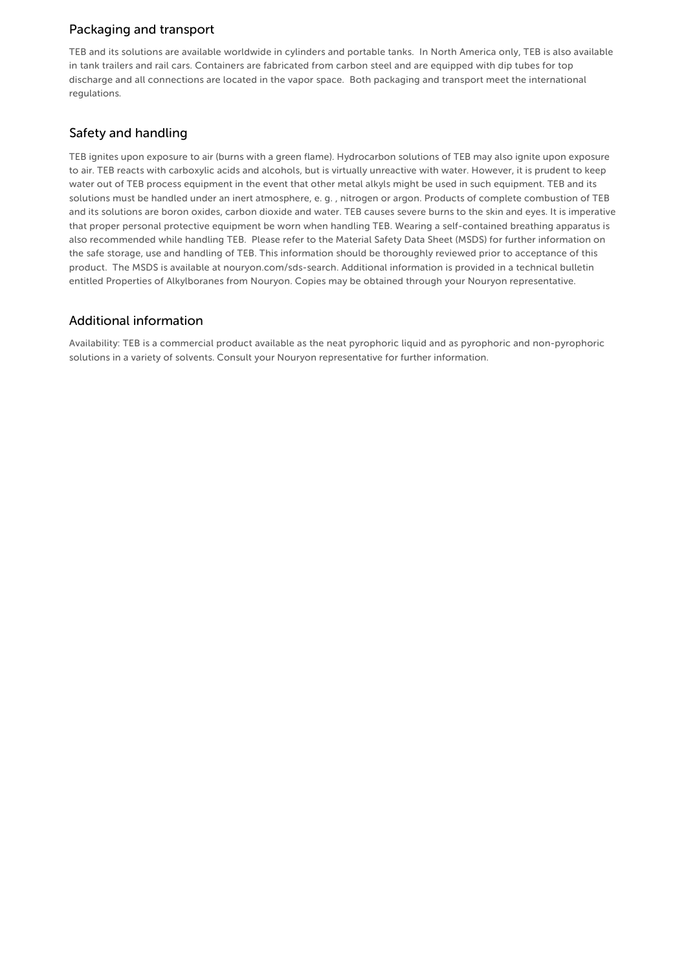### Packaging and transport

TEB and its solutions are available worldwide in cylinders and portable tanks. In North America only, TEB is also available in tank trailers and rail cars. Containers are fabricated from carbon steel and are equipped with dip tubes for top discharge and all connections are located in the vapor space. Both packaging and transport meet the international regulations.

# Safety and handling

TEB ignites upon exposure to air (burns with a green flame). Hydrocarbon solutions of TEB may also ignite upon exposure to air. TEB reacts with carboxylic acids and alcohols, but is virtually unreactive with water. However, it is prudent to keep water out of TEB process equipment in the event that other metal alkyls might be used in such equipment. TEB and its solutions must be handled under an inert atmosphere, e. g. , nitrogen or argon. Products of complete combustion of TEB and its solutions are boron oxides, carbon dioxide and water. TEB causes severe burns to the skin and eyes. It is imperative that proper personal protective equipment be worn when handling TEB. Wearing a self-contained breathing apparatus is also recommended while handling TEB. Please refer to the Material Safety Data Sheet (MSDS) for further information on the safe storage, use and handling of TEB. This information should be thoroughly reviewed prior to acceptance of this product. The MSDS is available at nouryon.com/sds-search. Additional information is provided in a technical bulletin entitled Properties of Alkylboranes from Nouryon. Copies may be obtained through your Nouryon representative.

#### Additional information

Availability: TEB is a commercial product available as the neat pyrophoric liquid and as pyrophoric and non-pyrophoric solutions in a variety of solvents. Consult your Nouryon representative for further information.